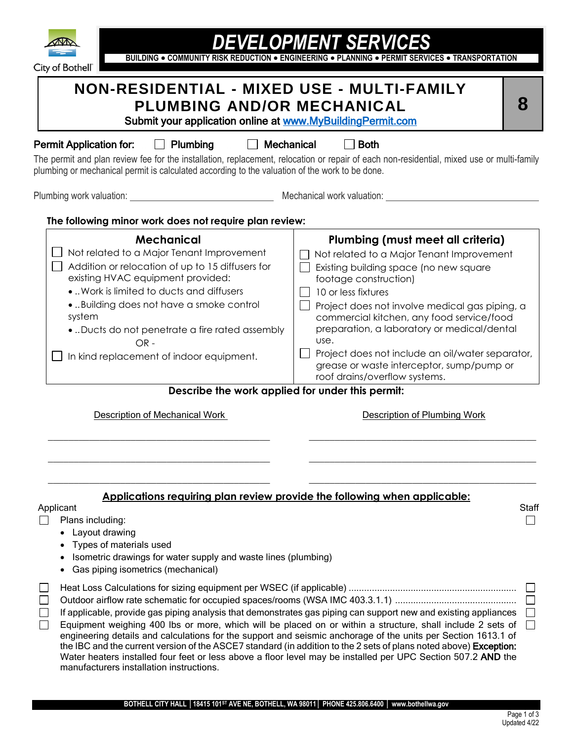| <b>DEVELOPMENT SERVICES</b><br>BUILDING . COMMUNITY RISK REDUCTION . ENGINEERING . PLANNING . PERMIT SERVICES . TRANSPORTATION<br>City of Bothell"                                                                                                                                                                                                                                                                                                                                                                                                                                                                                                                                                                                                                                                                                                                                                 |                                                                                                                                                                                                                                                                                                                                                                                                                                                                                                  |  |
|----------------------------------------------------------------------------------------------------------------------------------------------------------------------------------------------------------------------------------------------------------------------------------------------------------------------------------------------------------------------------------------------------------------------------------------------------------------------------------------------------------------------------------------------------------------------------------------------------------------------------------------------------------------------------------------------------------------------------------------------------------------------------------------------------------------------------------------------------------------------------------------------------|--------------------------------------------------------------------------------------------------------------------------------------------------------------------------------------------------------------------------------------------------------------------------------------------------------------------------------------------------------------------------------------------------------------------------------------------------------------------------------------------------|--|
| NON-RESIDENTIAL - MIXED USE - MULTI-FAMILY<br>PLUMBING AND/OR MECHANICAL<br>Submit your application online at www.MyBuildingPermit.com                                                                                                                                                                                                                                                                                                                                                                                                                                                                                                                                                                                                                                                                                                                                                             | 8                                                                                                                                                                                                                                                                                                                                                                                                                                                                                                |  |
| $\Box$ Plumbing<br>Mechanical<br><b>Permit Application for:</b><br>The permit and plan review fee for the installation, replacement, relocation or repair of each non-residential, mixed use or multi-family<br>plumbing or mechanical permit is calculated according to the valuation of the work to be done.                                                                                                                                                                                                                                                                                                                                                                                                                                                                                                                                                                                     | <b>Both</b>                                                                                                                                                                                                                                                                                                                                                                                                                                                                                      |  |
| The following minor work does not require plan review:                                                                                                                                                                                                                                                                                                                                                                                                                                                                                                                                                                                                                                                                                                                                                                                                                                             |                                                                                                                                                                                                                                                                                                                                                                                                                                                                                                  |  |
| Mechanical<br>Not related to a Major Tenant Improvement<br>Addition or relocation of up to 15 diffusers for<br>existing HVAC equipment provided:<br>•  Work is limited to ducts and diffusers<br>. Building does not have a smoke control<br>system<br>. Ducts do not penetrate a fire rated assembly<br>$OR -$<br>In kind replacement of indoor equipment.<br>Describe the work applied for under this permit:<br>Description of Mechanical Work                                                                                                                                                                                                                                                                                                                                                                                                                                                  | Plumbing (must meet all criteria)<br>Not related to a Major Tenant Improvement<br>Existing building space (no new square<br>footage construction)<br>10 or less fixtures<br>Project does not involve medical gas piping, a<br>commercial kitchen, any food service/food<br>preparation, a laboratory or medical/dental<br>use.<br>Project does not include an oil/water separator,<br>grease or waste interceptor, sump/pump or<br>roof drains/overflow systems.<br>Description of Plumbing Work |  |
| Applications requiring plan review provide the following when applicable:<br>Applicant<br>Plans including:<br>Layout drawing<br>Types of materials used<br>Isometric drawings for water supply and waste lines (plumbing)<br>Gas piping isometrics (mechanical)<br>If applicable, provide gas piping analysis that demonstrates gas piping can support new and existing appliances<br>Equipment weighing 400 lbs or more, which will be placed on or within a structure, shall include 2 sets of<br>engineering details and calculations for the support and seismic anchorage of the units per Section 1613.1 of<br>the IBC and the current version of the ASCE7 standard (in addition to the 2 sets of plans noted above) Exception:<br>Water heaters installed four feet or less above a floor level may be installed per UPC Section 507.2 AND the<br>manufacturers installation instructions. | <b>Staff</b>                                                                                                                                                                                                                                                                                                                                                                                                                                                                                     |  |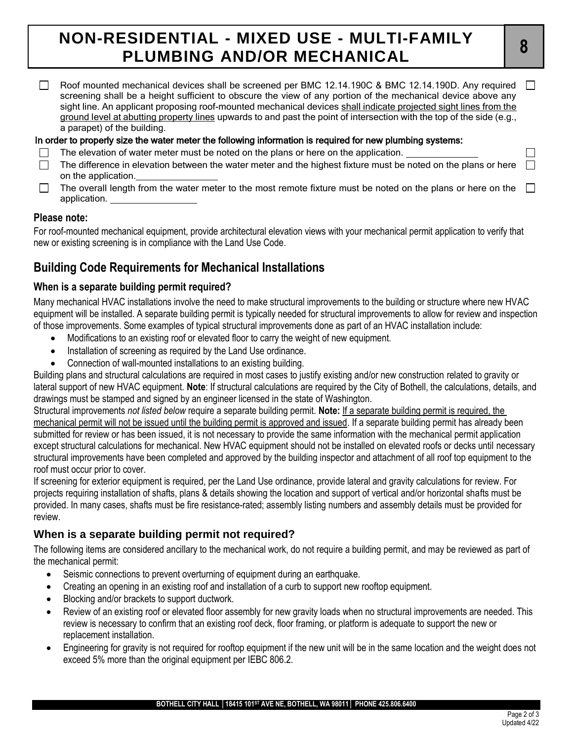# **NON-RESIDENTIAL - MIXED USE - MULTI-FAMILY PLUMBING AND/OR MECHANICAL <sup>8</sup>**

Roof mounted mechanical devices shall be screened per BMC 12.14.190C & BMC 12.14.190D. Any required  $\Box$  $\Box$ screening shall be a height sufficient to obscure the view of any portion of the mechanical device above any sight line. An applicant proposing roof-mounted mechanical devices shall indicate projected sight lines from the ground level at abutting property lines upwards to and past the point of intersection with the top of the side (e.g., a parapet) of the building.

#### In order to properly size the water meter the following information is required for new plumbing systems:

- The elevation of water meter must be noted on the plans or here on the application. П
- $\Box$ The difference in elevation between the water meter and the highest fixture must be noted on the plans or here on the application.
- $\Box$ The overall length from the water meter to the most remote fixture must be noted on the plans or here on the application.

### **Please note:**

For roof-mounted mechanical equipment, provide architectural elevation views with your mechanical permit application to verify that new or existing screening is in compliance with the Land Use Code.

# **Building Code Requirements for Mechanical Installations**

### **When is a separate building permit required?**

Many mechanical HVAC installations involve the need to make structural improvements to the building or structure where new HVAC equipment will be installed. A separate building permit is typically needed for structural improvements to allow for review and inspection of those improvements. Some examples of typical structural improvements done as part of an HVAC installation include:

- Modifications to an existing roof or elevated floor to carry the weight of new equipment.
- Installation of screening as required by the Land Use ordinance.
- Connection of wall-mounted installations to an existing building.

Building plans and structural calculations are required in most cases to justify existing and/or new construction related to gravity or lateral support of new HVAC equipment. **Note**: If structural calculations are required by the City of Bothell, the calculations, details, and drawings must be stamped and signed by an engineer licensed in the state of Washington.

Structural improvements *not listed below* require a separate building permit. **Note:** If a separate building permit is required, the mechanical permit will not be issued until the building permit is approved and issued. If a separate building permit has already been submitted for review or has been issued, it is not necessary to provide the same information with the mechanical permit application except structural calculations for mechanical. New HVAC equipment should not be installed on elevated roofs or decks until necessary structural improvements have been completed and approved by the building inspector and attachment of all roof top equipment to the roof must occur prior to cover.

If screening for exterior equipment is required, per the Land Use ordinance, provide lateral and gravity calculations for review. For projects requiring installation of shafts, plans & details showing the location and support of vertical and/or horizontal shafts must be provided. In many cases, shafts must be fire resistance-rated; assembly listing numbers and assembly details must be provided for review.

## **When is a separate building permit not required?**

The following items are considered ancillary to the mechanical work, do not require a building permit, and may be reviewed as part of the mechanical permit:

- Seismic connections to prevent overturning of equipment during an earthquake.
- Creating an opening in an existing roof and installation of a curb to support new rooftop equipment.
- Blocking and/or brackets to support ductwork.
- Review of an existing roof or elevated floor assembly for new gravity loads when no structural improvements are needed. This review is necessary to confirm that an existing roof deck, floor framing, or platform is adequate to support the new or replacement installation.
- Engineering for gravity is not required for rooftop equipment if the new unit will be in the same location and the weight does not exceed 5% more than the original equipment per IEBC 806.2.